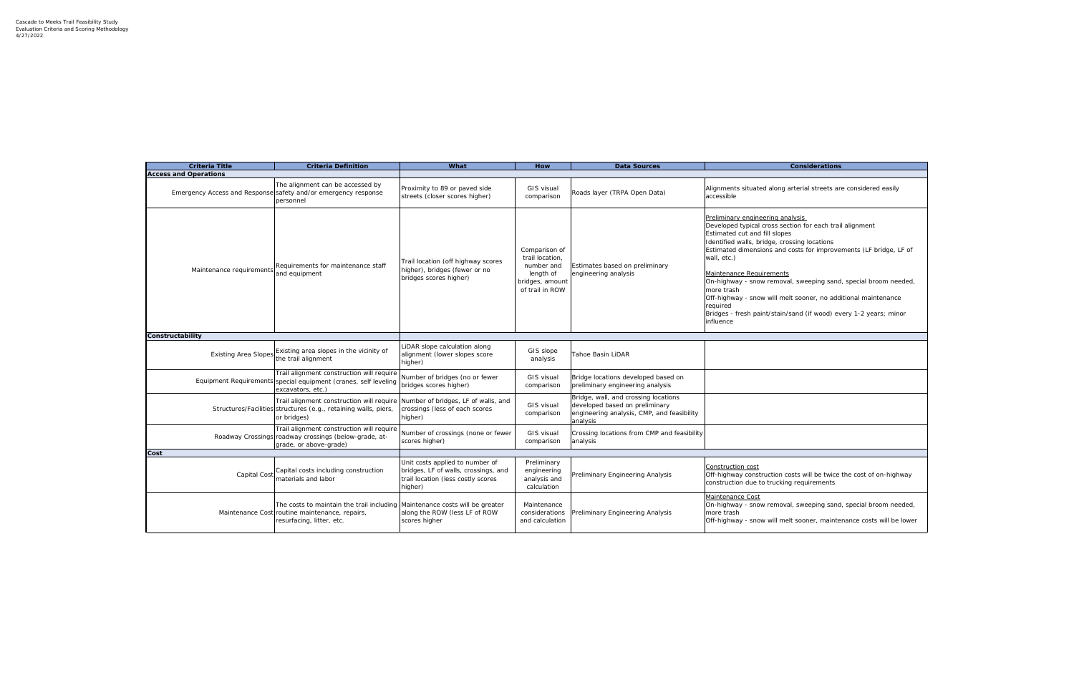Developed typical cross section for each trail alignment

costs for improvements (LF bridge, LF of

al, sweeping sand, special broom needed,

elt sooner, no additional maintenance

sand (if wood) every 1-2 years; minor

osts will be twice the cost of on-highway g requirements

al, sweeping sand, special broom needed,

elt sooner, maintenance costs will be lower

| <b>Criteria Title</b>        | <b>Criteria Definition</b>                                                                                                                                      | What                                                                                                                     | How                                                                                               | <b>Data Sources</b>                                                                                                              | <b>Considerations</b>                                                                                                                                                                                                                                                                                                                                                                                                                          |
|------------------------------|-----------------------------------------------------------------------------------------------------------------------------------------------------------------|--------------------------------------------------------------------------------------------------------------------------|---------------------------------------------------------------------------------------------------|----------------------------------------------------------------------------------------------------------------------------------|------------------------------------------------------------------------------------------------------------------------------------------------------------------------------------------------------------------------------------------------------------------------------------------------------------------------------------------------------------------------------------------------------------------------------------------------|
| <b>Access and Operations</b> |                                                                                                                                                                 |                                                                                                                          |                                                                                                   |                                                                                                                                  |                                                                                                                                                                                                                                                                                                                                                                                                                                                |
|                              | The alignment can be accessed by<br>Emergency Access and Response safety and/or emergency response<br>personnel                                                 | Proximity to 89 or paved side<br>streets (closer scores higher)                                                          | <b>GIS visual</b><br>comparison                                                                   | Roads layer (TRPA Open Data)                                                                                                     | Alignments situated along arterial streets ar<br>accessible                                                                                                                                                                                                                                                                                                                                                                                    |
| Maintenance requirements     | Requirements for maintenance staff<br>and equipment                                                                                                             | Trail location (off highway scores<br>higher), bridges (fewer or no<br>bridges scores higher)                            | Comparison of<br>trail location,<br>number and<br>length of<br>bridges, amount<br>of trail in ROW | Estimates based on preliminary<br>engineering analysis                                                                           | Preliminary engineering analysis<br>Developed typical cross section for each trai<br>Estimated cut and fill slopes<br>Identified walls, bridge, crossing locations<br>Estimated dimensions and costs for improve<br>wall, etc.)<br>Maintenance Requirements<br>On-highway - snow removal, sweeping sand<br>more trash<br>Off-highway - snow will melt sooner, no add<br>required<br>Bridges - fresh paint/stain/sand (if wood) ev<br>influence |
| Constructability             |                                                                                                                                                                 |                                                                                                                          |                                                                                                   |                                                                                                                                  |                                                                                                                                                                                                                                                                                                                                                                                                                                                |
| <b>Existing Area Slopes</b>  | Existing area slopes in the vicinity of<br>the trail alignment                                                                                                  | LiDAR slope calculation along<br>alignment (lower slopes score<br>higher)                                                | GIS slope<br>analysis                                                                             | Tahoe Basin LiDAR                                                                                                                |                                                                                                                                                                                                                                                                                                                                                                                                                                                |
|                              | Trail alignment construction will require<br>Equipment Requirements special equipment (cranes, self leveling<br>excavators, etc.)                               | Number of bridges (no or fewer<br>bridges scores higher)                                                                 | GIS visual<br>comparison                                                                          | Bridge locations developed based on<br>preliminary engineering analysis                                                          |                                                                                                                                                                                                                                                                                                                                                                                                                                                |
|                              | Trail alignment construction will require Number of bridges, LF of walls, and<br>Structures/Facilities structures (e.g., retaining walls, piers,<br>or bridges) | crossings (less of each scores<br>higher)                                                                                | GIS visual<br>comparison                                                                          | Bridge, wall, and crossing locations<br>developed based on preliminary<br>engineering analysis, CMP, and feasibility<br>analysis |                                                                                                                                                                                                                                                                                                                                                                                                                                                |
|                              | Trail alignment construction will require<br>Roadway Crossings roadway crossings (below-grade, at-<br>grade, or above-grade)                                    | Number of crossings (none or fewer<br>scores higher)                                                                     | GIS visual<br>comparison                                                                          | Crossing locations from CMP and feasibility<br>analysis                                                                          |                                                                                                                                                                                                                                                                                                                                                                                                                                                |
| Cost                         |                                                                                                                                                                 |                                                                                                                          |                                                                                                   |                                                                                                                                  |                                                                                                                                                                                                                                                                                                                                                                                                                                                |
|                              | Capital Cost Capital costs including construction<br>materials and labor                                                                                        | Unit costs applied to number of<br>bridges, LF of walls, crossings, and<br>trail location (less costly scores<br>higher) | Preliminary<br>engineering<br>analysis and<br>calculation                                         | Preliminary Engineering Analysis                                                                                                 | Construction cost<br>Off-highway construction costs will be twice<br>construction due to trucking requirements                                                                                                                                                                                                                                                                                                                                 |
|                              | The costs to maintain the trail including Maintenance costs will be greater<br>Maintenance Cost routine maintenance, repairs,<br>resurfacing, litter, etc.      | along the ROW (less LF of ROW<br>scores higher                                                                           | Maintenance<br>considerations<br>and calculation                                                  | Preliminary Engineering Analysis                                                                                                 | Maintenance Cost<br>On-highway - snow removal, sweeping sand<br>more trash<br>Off-highway - snow will melt sooner, mainte                                                                                                                                                                                                                                                                                                                      |

arterial streets are considered easily